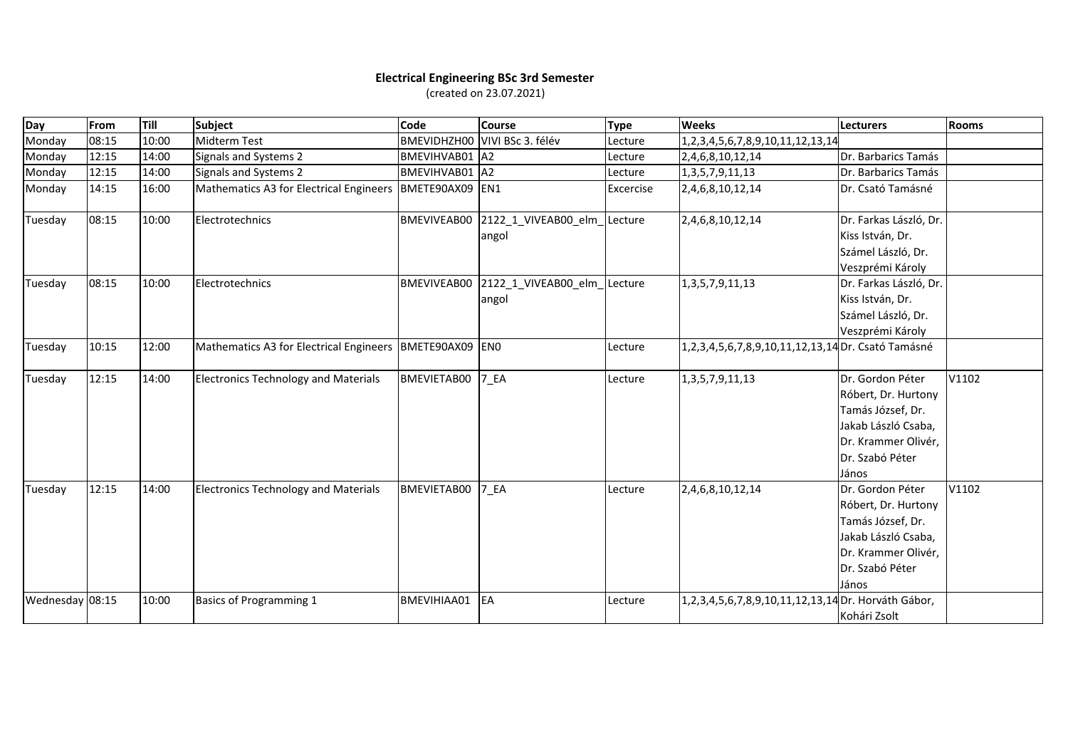## **Electrical Engineering BSc 3rd Semester**

(created on 23.07.2021)

| Day             | From  | Till  | Subject                                                     | Code            | <b>Course</b>                        | <b>Type</b> | <b>Weeks</b>                                        | <b>Lecturers</b>                                                                                                                       | <b>Rooms</b> |
|-----------------|-------|-------|-------------------------------------------------------------|-----------------|--------------------------------------|-------------|-----------------------------------------------------|----------------------------------------------------------------------------------------------------------------------------------------|--------------|
| Monday          | 08:15 | 10:00 | Midterm Test                                                |                 | BMEVIDHZH00 VIVI BSc 3. félév        | Lecture     | 1, 2, 3, 4, 5, 6, 7, 8, 9, 10, 11, 12, 13, 14       |                                                                                                                                        |              |
| Monday          | 12:15 | 14:00 | Signals and Systems 2                                       | BMEVIHVAB01 A2  |                                      | Lecture     | 2,4,6,8,10,12,14                                    | Dr. Barbarics Tamás                                                                                                                    |              |
| Monday          | 12:15 | 14:00 | Signals and Systems 2                                       | BMEVIHVAB01 A2  |                                      | Lecture     | 1, 3, 5, 7, 9, 11, 13                               | Dr. Barbarics Tamás                                                                                                                    |              |
| Monday          | 14:15 | 16:00 | Mathematics A3 for Electrical Engineers                     | BMETE90AX09 EN1 |                                      | Excercise   | 2,4,6,8,10,12,14                                    | Dr. Csató Tamásné                                                                                                                      |              |
| Tuesday         | 08:15 | 10:00 | Electrotechnics                                             | BMEVIVEAB00     | 2122 1 VIVEAB00 elm Lecture<br>angol |             | 2,4,6,8,10,12,14                                    | Dr. Farkas László, Dr.<br>Kiss István, Dr.<br>Számel László, Dr.<br>Veszprémi Károly                                                   |              |
| Tuesday         | 08:15 | 10:00 | Electrotechnics                                             | BMEVIVEAB00     | 2122 1 VIVEAB00 elm Lecture<br>angol |             | 1, 3, 5, 7, 9, 11, 13                               | Dr. Farkas László, Dr.<br>Kiss István, Dr.<br>Számel László, Dr.<br>Veszprémi Károly                                                   |              |
| Tuesday         | 10:15 | 12:00 | Mathematics A3 for Electrical Engineers   BMETE90AX09   ENO |                 |                                      | Lecture     | 1,2,3,4,5,6,7,8,9,10,11,12,13,14 Dr. Csató Tamásné  |                                                                                                                                        |              |
| Tuesday         | 12:15 | 14:00 | <b>Electronics Technology and Materials</b>                 | BMEVIETAB00     | 7 EA                                 | Lecture     | 1, 3, 5, 7, 9, 11, 13                               | Dr. Gordon Péter<br>Róbert, Dr. Hurtony<br>Tamás József, Dr.<br>Jakab László Csaba,<br>Dr. Krammer Olivér,<br>Dr. Szabó Péter<br>János | V1102        |
| Tuesday         | 12:15 | 14:00 | <b>Electronics Technology and Materials</b>                 | BMEVIETAB00     | 7 EA                                 | Lecture     | 2,4,6,8,10,12,14                                    | Dr. Gordon Péter<br>Róbert, Dr. Hurtony<br>Tamás József, Dr.<br>Jakab László Csaba,<br>Dr. Krammer Olivér,<br>Dr. Szabó Péter<br>János | V1102        |
| Wednesday 08:15 |       | 10:00 | Basics of Programming 1                                     | BMEVIHIAA01     | EA                                   | Lecture     | 1,2,3,4,5,6,7,8,9,10,11,12,13,14 Dr. Horváth Gábor, | Kohári Zsolt                                                                                                                           |              |